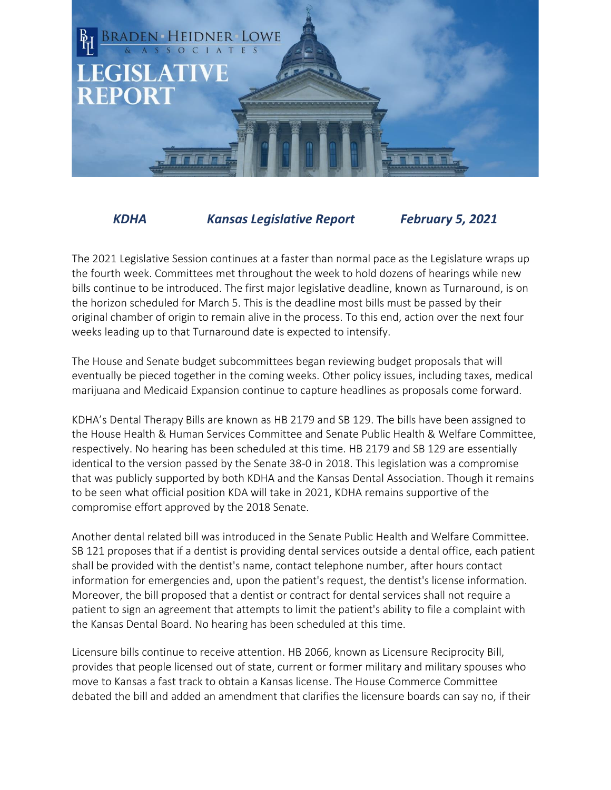

*KDHA Kansas Legislative Report February 5, 2021*

The 2021 Legislative Session continues at a faster than normal pace as the Legislature wraps up the fourth week. Committees met throughout the week to hold dozens of hearings while new bills continue to be introduced. The first major legislative deadline, known as Turnaround, is on the horizon scheduled for March 5. This is the deadline most bills must be passed by their original chamber of origin to remain alive in the process. To this end, action over the next four weeks leading up to that Turnaround date is expected to intensify.

The House and Senate budget subcommittees began reviewing budget proposals that will eventually be pieced together in the coming weeks. Other policy issues, including taxes, medical marijuana and Medicaid Expansion continue to capture headlines as proposals come forward.

KDHA's Dental Therapy Bills are known as HB 2179 and SB 129. The bills have been assigned to the House Health & Human Services Committee and Senate Public Health & Welfare Committee, respectively. No hearing has been scheduled at this time. HB 2179 and SB 129 are essentially identical to the version passed by the Senate 38-0 in 2018. This legislation was a compromise that was publicly supported by both KDHA and the Kansas Dental Association. Though it remains to be seen what official position KDA will take in 2021, KDHA remains supportive of the compromise effort approved by the 2018 Senate.

Another dental related bill was introduced in the Senate Public Health and Welfare Committee. SB 121 proposes that if a dentist is providing dental services outside a dental office, each patient shall be provided with the dentist's name, contact telephone number, after hours contact information for emergencies and, upon the patient's request, the dentist's license information. Moreover, the bill proposed that a dentist or contract for dental services shall not require a patient to sign an agreement that attempts to limit the patient's ability to file a complaint with the Kansas Dental Board. No hearing has been scheduled at this time.

Licensure bills continue to receive attention. HB 2066, known as Licensure Reciprocity Bill, provides that people licensed out of state, current or former military and military spouses who move to Kansas a fast track to obtain a Kansas license. The House Commerce Committee debated the bill and added an amendment that clarifies the licensure boards can say no, if their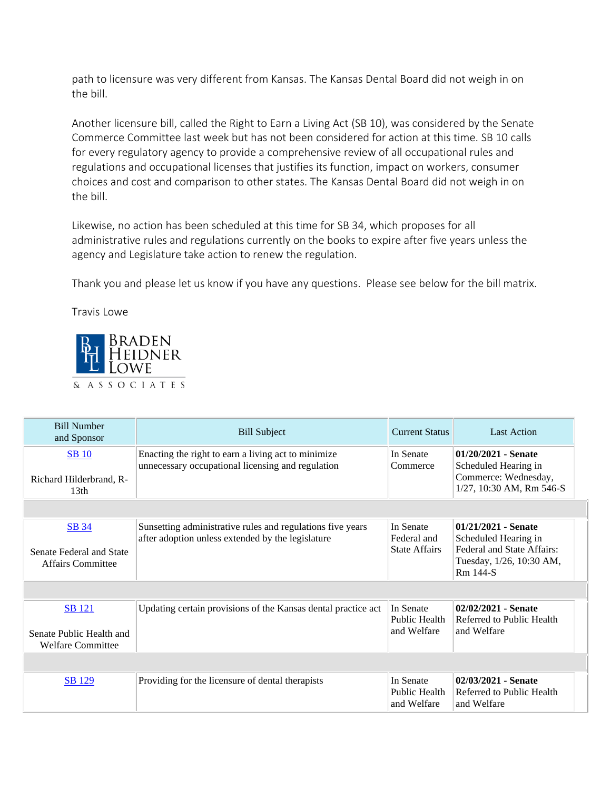path to licensure was very different from Kansas. The Kansas Dental Board did not weigh in on the bill.

Another licensure bill, called the Right to Earn a Living Act (SB 10), was considered by the Senate Commerce Committee last week but has not been considered for action at this time. SB 10 calls for every regulatory agency to provide a comprehensive review of all occupational rules and regulations and occupational licenses that justifies its function, impact on workers, consumer choices and cost and comparison to other states. The Kansas Dental Board did not weigh in on the bill.

Likewise, no action has been scheduled at this time for SB 34, which proposes for all administrative rules and regulations currently on the books to expire after five years unless the agency and Legislature take action to renew the regulation.

Thank you and please let us know if you have any questions. Please see below for the bill matrix.

Travis Lowe



| <b>Bill Number</b><br>and Sponsor                                     | <b>Bill Subject</b>                                                                                             | <b>Current Status</b>                            | <b>Last Action</b>                                                        |
|-----------------------------------------------------------------------|-----------------------------------------------------------------------------------------------------------------|--------------------------------------------------|---------------------------------------------------------------------------|
| <b>SB</b> 10<br>Richard Hilderbrand, R-                               | Enacting the right to earn a living act to minimize<br>unnecessary occupational licensing and regulation        | In Senate<br>Commerce                            | $01/20/2021$ - Senate<br>Scheduled Hearing in<br>Commerce: Wednesday,     |
| 13 <sub>th</sub>                                                      |                                                                                                                 |                                                  | 1/27, 10:30 AM, Rm 546-S                                                  |
|                                                                       |                                                                                                                 |                                                  |                                                                           |
| SB 34                                                                 | Sunsetting administrative rules and regulations five years<br>after adoption unless extended by the legislature | In Senate<br>Federal and<br><b>State Affairs</b> | 01/21/2021 - Senate<br>Scheduled Hearing in<br>Federal and State Affairs: |
| Senate Federal and State<br>Affairs Committee                         |                                                                                                                 |                                                  | Tuesday, 1/26, 10:30 AM,<br>Rm 144-S                                      |
|                                                                       |                                                                                                                 |                                                  |                                                                           |
| <b>SB</b> 121<br>Senate Public Health and<br><b>Welfare Committee</b> | Updating certain provisions of the Kansas dental practice act                                                   | In Senate<br>Public Health<br>and Welfare        | 02/02/2021 - Senate<br>Referred to Public Health<br>and Welfare           |
|                                                                       |                                                                                                                 |                                                  |                                                                           |
| <b>SB</b> 129                                                         | Providing for the licensure of dental therapists                                                                | In Senate<br>Public Health<br>and Welfare        | 02/03/2021 - Senate<br>Referred to Public Health<br>and Welfare           |